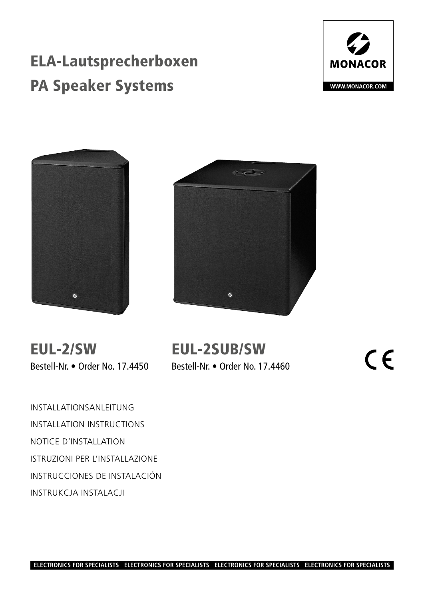# ELA-Lautsprecherboxen PA Speaker Systems







EUL-2/SW Bestell-Nr. • Order No. 17.4450

# EUL-2SUB/SW

Bestell-Nr. • Order No. 17.4460

 $\epsilon$ 

INSTALLATIONSANLEITUNG INSTALLATION INSTRUCTIONS NOTICE D'INSTALLATION ISTRUZIONI PER L'INSTALLAZIONE INSTRUCCIONES DE INSTALACIÓN INSTRUKCJA INSTALACJI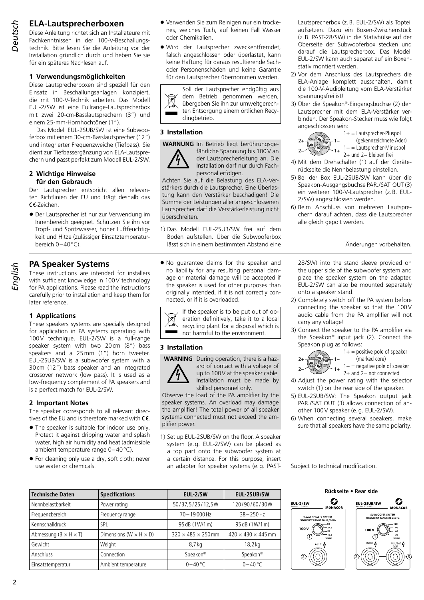# **ELA-Lautsprecherboxen**

*Deutsch*

Diese Anleitung richtet sich an Installateure mit Fachkenntnissen in der 100-V-Beschallungstechnik. Bitte lesen Sie die Anleitung vor der Installation gründlich durch und heben Sie sie für ein späteres Nachlesen auf.

### **1 Verwendungsmöglichkeiten**

Diese Lautsprecherboxen sind speziell für den Einsatz in Beschallungsanlagen konzipiert, die mit 100-V-Technik arbeiten. Das Modell EUL-2/SW ist eine Fullrange-Lautsprecherbox mit zwei 20-cm-Basslautsprechern (8") und einem 25-mm-Hornhochtöner (1").

Das Modell EUL-2SUB/SW ist eine Subwooferbox mit einem 30-cm-Basslautsprecher (12") und integrierter Frequenzweiche (Tiefpass). Sie dient zur Tiefbassergänzung von ELA-Lautsprechern und passt perfekt zum Modell EUL-2/SW.

#### **2 Wichtige Hinweise für den Gebrauch**

Der Lautsprecher entspricht allen relevanten Richtlinien der EU und trägt deshalb das CE-Zeichen.

• Der Lautsprecher ist nur zur Verwendung im Innenbereich geeignet. Schützen Sie ihn vor Tropf- und Spritzwasser, hoher Luftfeuchtigkeit und Hitze (zulässiger Einsatztemperaturbereich 0–40°C).

## **PA Speaker Systems**

These instructions are intended for installers with sufficient knowledge in 100V technology for PA applications. Please read the instructions carefully prior to installation and keep them for later reference.

### **1 Applications**

These speakers systems are specially designed for application in PA systems operating with 100V technique. EUL-2/SW is a full-range speaker system with two 20cm (8") bass speakers and a 25mm (1") horn tweeter. EUL-2SUB/SW is a subwoofer system with a 30cm (12") bass speaker and an integrated crossover network (low pass). It is used as a low-frequency complement of PA speakers and is a perfect match for EUL-2/SW.

#### **2 Important Notes**

The speaker corresponds to all relevant directives of the EU and is therefore marked with  $\mathsf{CE}$ .

- The speaker is suitable for indoor use only. Protect it against dripping water and splash water, high air humidity and heat (admissible ambient temperature range 0–40°C).
- For cleaning only use a dry, soft cloth; never use water or chemicals.
- Verwenden Sie zum Reinigen nur ein trockenes, weiches Tuch, auf keinen Fall Wasser oder Chemikalien.
- Wird der Lautsprecher zweckentfremdet, falsch angeschlossen oder überlastet, kann keine Haftung für daraus resultierende Sachoder Personenschäden und keine Garantie für den Lautsprecher übernommen werden.

Soll der Lautsprecher endgültig aus dem Betrieb genommen werden, übergeben Sie ihn zur umweltgerechten Entsorgung einem örtlichen Recyclingbetrieb.

#### **3 Installation**



**WARNUNG** Im Betrieb liegt berührungsgefährliche Spannung bis 100V an der Lautsprecherleitung an. Die Installation darf nur durch Fachpersonal erfolgen.

Achten Sie auf die Belastung des ELA-Verstärkers durch die Lautsprecher. Eine Überlastung kann den Verstärker beschädigen! Die Summe der Leistungen aller angeschlossenen Lautsprecher darf die Verstärkerleistung nicht überschreiten.

- 1) Das Modell EUL-2SUB/SW frei auf dem Boden aufstellen. Über die Subwooferbox lässt sich in einem bestimmten Abstand eine
- No guarantee claims for the speaker and no liability for any resulting personal damage or material damage will be accepted if the speaker is used for other purposes than originally intended, if it is not correctly connected, or if it is overloaded.

If the speaker is to be put out of op- $\boxtimes$ eration definitively, take it to a local recycling plant for a disposal which is not harmful to the environment.

#### **3 Installation**



**WARNING** During operation, there is a hazard of contact with a voltage of up to 100V at the speaker cable. Installation must be made by skilled personnel only.

Observe the load of the PA amplifier by the speaker systems. An overload may damage the amplifier! The total power of all speaker systems connected must not exceed the amplifier power.

1) Set up EUL-2SUB/SW on the floor. A speaker system (e.g. EUL-2/SW) can be placed as a top part onto the subwoofer system at a certain distance. For this purpose, insert an adapter for speaker systems (e.g. PAST-

Lautsprecherbox (z.B. EUL-2/SW) als Topteil aufsetzen. Dazu ein Boxen-Zwischenstück (z.B. PAST-28/SW) in die Stativhülse auf der Oberseite der Subwooferbox stecken und darauf die Lautsprecherbox. Das Modell EUL-2/SW kann auch separat auf ein Boxenstativ montiert werden.

- 2) Vor dem Anschluss des Lautsprechers die ELA-Anlage komplett ausschalten, damit die 100-V-Audioleitung vom ELA-Verstärker spannungsfrei ist!
- 3) Über die Speakon®-Eingangsbuchse (2) den Lautsprecher mit dem ELA-Verstärker verbinden. Der Speakon-Stecker muss wie folgt angeschlossen sein:



1+ = Lautsprecher-Pluspol (gekennzeichnete Ader) 1− = Lautsprecher-Minuspol 2+ und 2− bleiben frei

- 4) Mit dem Drehschalter (1) auf der Geräterückseite die Nennbelastung einstellen.
- 5) Bei der Box EUL-2SUB/SW kann über die Speakon-Ausgangsbuchse PAR./SAT OUT (3) ein weiterer 100-V-Lautsprecher (z.B. EUL-2/SW) angeschlossen werden.
- 6) Beim Anschluss von mehreren Lautsprechern darauf achten, dass die Lautsprecher alle gleich gepolt werden.

Änderungen vorbehalten.

28/SW) into the stand sleeve provided on the upper side of the subwoofer system and place the speaker system on the adapter. EUL-2/SW can also be mounted separately onto a speaker stand.

- 2) Completely switch off the PA system before connecting the speaker so that the 100V audio cable from the PA amplifier will not carry any voltage!
- 3) Connect the speaker to the PA amplifier via the Speakon® input jack (2). Connect the Speakon plug as follows:



 $1+=$  positive pole of speaker (marked core)

- 1− = negative pole of speaker 2+ and 2− not connected
- 4) Adjust the power rating with the selector switch (1) on the rear side of the speaker.
- 5) EUL-2SUB/SW: The Speakon output jack PAR./SAT OUT (3) allows connection of another 100V speaker (e.g. EUL-2/SW).
- 6) When connecting several speakers, make sure that all speakers have the same polarity.

Subject to technical modification.

| <b>Technische Daten</b>             | <b>Specifications</b>                | EUL-2/SW                       | <b>EUL-2SUB/SW</b>             |  |
|-------------------------------------|--------------------------------------|--------------------------------|--------------------------------|--|
| Nennbelastbarkeit                   | Power rating                         | 50/37,5/25/12,5W               | 120/90/60/30W                  |  |
| Frequenzbereich                     | Frequency range                      | $70 - 19000$ Hz                | $38 - 250$ Hz                  |  |
| Kennschalldruck                     | <b>SPL</b>                           | 95 dB (1W/1 m)                 | 95 dB (1W/1 m)                 |  |
| Abmessung ( $B \times H \times T$ ) | Dimensions ( $W \times H \times D$ ) | $320 \times 485 \times 250$ mm | $420 \times 430 \times 445$ mm |  |
| Gewicht                             | Weight                               | 8,7 kg                         | $18,2$ kg                      |  |
| Anschluss                           | Connection                           | Speakon®                       | Speakon®                       |  |
| Einsatztemperatur                   | Ambient temperature                  | $0 - 40$ °C                    | $0 - 40$ °C                    |  |

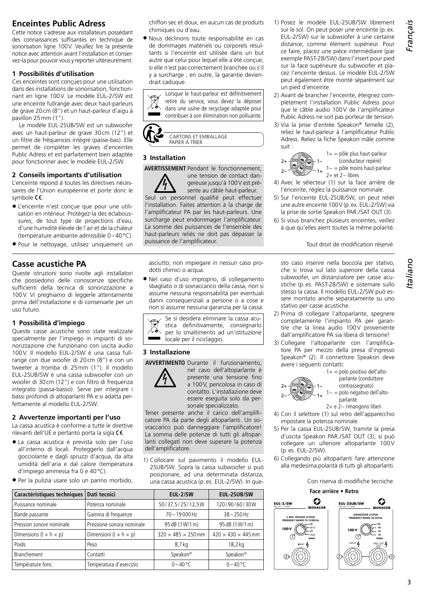# **Enceintes Public Adress**

Cette notice s'adresse aux installateurs possédant des connaissances suffisantes en technique de sonorisation ligne 100V. Veuillez lire la présente notice avec attention avant l'installation et conservez-la pour pouvoir vous y reporter ultérieurement.

#### **1 Possibilités d'utilisation**

Ces enceintes sont conçues pour une utilisation dans des installations de sonorisation, fonctionnant en ligne 100V. Le modèle EUL-2/SW est une enceinte fullrange avec deux haut-parleurs de grave 20cm (8") et un haut-parleur d'aigu à pavillon 25mm (1").

Le modèle EUL-2SUB/SW est un subwoofer avec un haut-parleur de grave 30cm (12") et un filtre de fréquences intégré (passe-bas). Elle permet de compléter les graves d'enceintes Public Adress et est parfaitement bien adaptée pour fonctionner avec le modèle EUL-2/SW.

#### **2 Conseils importants d'utilisation**

L'enceinte répond à toutes les directives nécessaires de l'Union européenne et porte donc le symbole  $\mathsf{C}\mathsf{C}$ .

- L'enceinte n'est conçue que pour une utilisation en intérieur. Protégez-la des éclaboussures, de tout type de projections d'eau, d'une humidité élevée de l'air et de la chaleur (température ambiante admissible 0–40°C).
- Pour le nettoyage, utilisez uniquement un

# **Casse acustiche PA**

Queste istruzioni sono rivolte agli installatori che possiedono delle conoscenze specifiche sufficienti della tecnica di sonorizzazione a 100V. Vi preghiamo di leggerle attentamente prima dell'installazione e di conservarle per un uso futuro.

### **1 Possibilità d'impiego**

Queste casse acustiche sono state realizzate specialmente per l'impiego in impianti di sonorizzazione che funzionano con uscita audio 100V. Il modello EUL-2/SW è una cassa fullrange con due woofer di 20cm (8") e con un tweeter a tromba di 25mm (1"). Il modello EUL-2SUB/SW è una cassa subwoofer con un woofer di 30cm (12") e con filtro di frequenza integrato (passa-basso). Serve per integrare i bassi profondi di altoparlanti PA e si adatta perfettamente al modello EUL-2/SW.

### **2 Avvertenze importanti per l'uso**

La cassa acustica è conforme a tutte le direttive rilevanti dell'UE e pertanto porta la sigla  $\mathsf{C}\mathsf{E}$ .

- La cassa acustica è prevista solo per l'uso all'interno di locali. Proteggerlo dall'acqua gocciolante e dagli spruzzi d'acqua, da alta umidità dell'aria e dal calore (temperatura d'impiego ammessa fra 0 e 40°C).
- Per la pulizia usare solo un panno morbido,

chiffon sec et doux, en aucun cas de produits chimiques ou d'eau.

• Nous déclinons toute responsabilité en cas de dommages matériels ou corporels résultants si l'enceinte est utilisée dans un but autre que celui pour lequel elle a été concue. si elle n'est pas correctement branchée ou s'il y a surcharge ; en outre, la garantie deviendrait caduque.

Lorsque le haut-parleur est définitivement  $\boxtimes$ retiré du service, vous devez la déposer dans une usine de recyclage adaptée pour contribuer à son élimination non polluante.



### **3 Installation**

**AVERTISSEMENT** Pendant le fonctionnement,



une tension de contact dangereuse jusqu'à 100V est pré-

sente au câble haut-parleur. Seul un personnel qualifié peut effectuer l'installation. Faites attention à la charge de l'amplificateur PA par les haut-parleurs. Une surcharge peut endommager l'amplificateur. La somme des puissances de l'ensemble des haut-parleurs reliés ne doit pas dépasser la puissance de l'amplificateur.

asciutto; non impiegare in nessun caso prodotti chimici o acqua.

• Nel caso d'uso improprio, di collegamento sbagliato o di sovraccarico della cassa, non si assume nessuna responsabilità per eventuali danni consequenziali a persone o a cose e non si assume nessuna garanzia per la cassa.

Se si desidera eliminare la cassa acustica definitivamente, consegnarlo per lo smaltimento ad un'istituzione locale per il riciclaggio.

### **3 Installazione**

**AVVERTIMENTO** Durante il funzionamento,



nel cavo dell'altoparlante è presente una tensione fino a 100V, pericolosa in caso di contatto. L'installazione deve essere eseguita solo da personale specializzato.

Tener presente anche il carico dell'amplificatore PA da parte degli altoparlanti. Un sovraccarico può danneggiare l'amplificatore! La somma delle potenze di tutti gli altoparlanti collegati non deve superare la potenza dell'amplificatore.

1) Collocare sul pavimento il modello EUL-2SUB/SW. Sopra la cassa subwoofer si può posizionare, ad una determinata distanza, una cassa acustica (p.es. EUL-2/SW). In que-

| Caractéristiques techniques          | Dati tecnici                         | EUL-2/SW                       | EUL-2SUB/SW                    |                                                             | Face arrière • Retro           |
|--------------------------------------|--------------------------------------|--------------------------------|--------------------------------|-------------------------------------------------------------|--------------------------------|
| Puissance nominale                   | Potenza nominale                     | 50/37,5/25/12,5W               | 120/90/60/30W                  | Ø<br><b>EUL 2/SW</b><br>Best.-Nr. 17.4450<br><b>MONACOR</b> | EUL-2SUB/<br>Best.-Nr. 17.4460 |
| Bande passante                       | Gamma di frequenze                   | 70-19000Hz                     | $38 - 250$ Hz                  | 2-WAY SPEAKER SYSTEM                                        | <b>SUB</b><br><b>FREQUE</b>    |
| Pression sonore nominale             | Pressione sonora nominale            | 95 dB (1W/1 m)                 | 95 dB (1W/1 m)                 | FREQUENCY RANGE 70-19.000 Hz                                |                                |
| Dimensions ( $1 \times h \times p$ ) | Dimensioni ( $l \times h \times p$ ) | $320 \times 485 \times 250$ mm | $420 \times 430 \times 445$ mm | 100 V<br><b>WRMS</b>                                        | 100 V                          |
| Poids                                | Peso                                 | 8,7kg                          | $18,2 \text{ kg}$              | INPUT $\boldsymbol{L}$                                      | INPUT                          |
| Branchement                          | Contatti                             | Speakon <sup>®</sup>           | Speakon <sup>®</sup>           |                                                             |                                |
| Température fonc.                    | Temperatura d'esercizio              | $0 - 40$ °C                    | $0 - 40$ °C                    |                                                             |                                |

- 1) Posez le modèle EUL-2SUB/SW librement sur le sol. On peut poser une enceinte (p.ex. EUL-2/SW) sur le subwoofer à une certaine distance, comme élément supérieur. Pour ce faire, placez une pièce intermédiaire (par exemple PAST-28/SW) dans l'insert pour pied sur la face supérieure du subwoofer et placez l'enceinte dessus. Le modèle EUL-2/SW peut également être monté séparément sur un pied d'enceinte.
- 2) Avant de brancher l'enceinte, éteignez complètement l'installation Public Adress pour que le câble audio 100V de l'amplificateur Public Adress ne soit pas porteur de tension.
- 3) Via la prise d'entrée Speakon® femelle (2), reliez le haut-parleur à l'amplificateur Public Adress. Reliez la fiche Speakon mâle comme suit :



 $1+=$  pôle plus haut-parleur (conducteur repéré) 1− = pôle moins haut-parleur

- 4) Avec le sélecteur (1) sur la face arrière de l'enceinte, réglez la puissance nominale.
- 5) Sur l'enceinte EUL-2SUB/SW, on peut relier une autre enceinte 100V (p.ex. EUL-2/SW) via la prise de sortie Speakon PAR./SAT OUT (3).
- 6) Si vous branchez plusieurs enceintes, veillez à que qu'elles aient toutes la même polarité.

#### Tout droit de modification réservé.

sto caso inserire nella boccola per stativo, che si trova sul lato superiore della cassa subwoofer, un distanziatore per casse acustiche (p. es. PAST-28/SW) e sistemare sullo stesso la cassa. Il modello EUL-2/SW può essere montato anche separatamente su uno stativo per casse acustiche.

- 2) Prima di collegare l'altoparlante, spegnere completamente l'impianto PA per garantire che la linea audio 100V proveniente dall'amplificatore PA sia libera di tensione!
- 3) Collegare l'altoparlante con l'amplificatore PA per mezzo della presa d'ingresso Speakon® (2). Il connettore Speakon deve avere i seguenti contatti:



 $1+=$  polo positivo dell'altoparlante (conduttore contrassegnato)

- 1− = polo negativo dell'altoparlante
- 2+ e 2− rimangono liberi
- 4) Con il selettore (1) sul retro dell'apparecchio impostare la potenza nominale.
- 5) Per la cassa EUL-2SUB/SW, tramite la presa d'uscita Speakon PAR./SAT OUT (3), si può collegare un ulteriore altoparlante 100V (p.es. EUL-2/SW).
- 6) Collegando più altoparlanti fare attenzione alla medesima polarità di tutti gli altoparlanti.

Con riserva di modifiche tecniche.